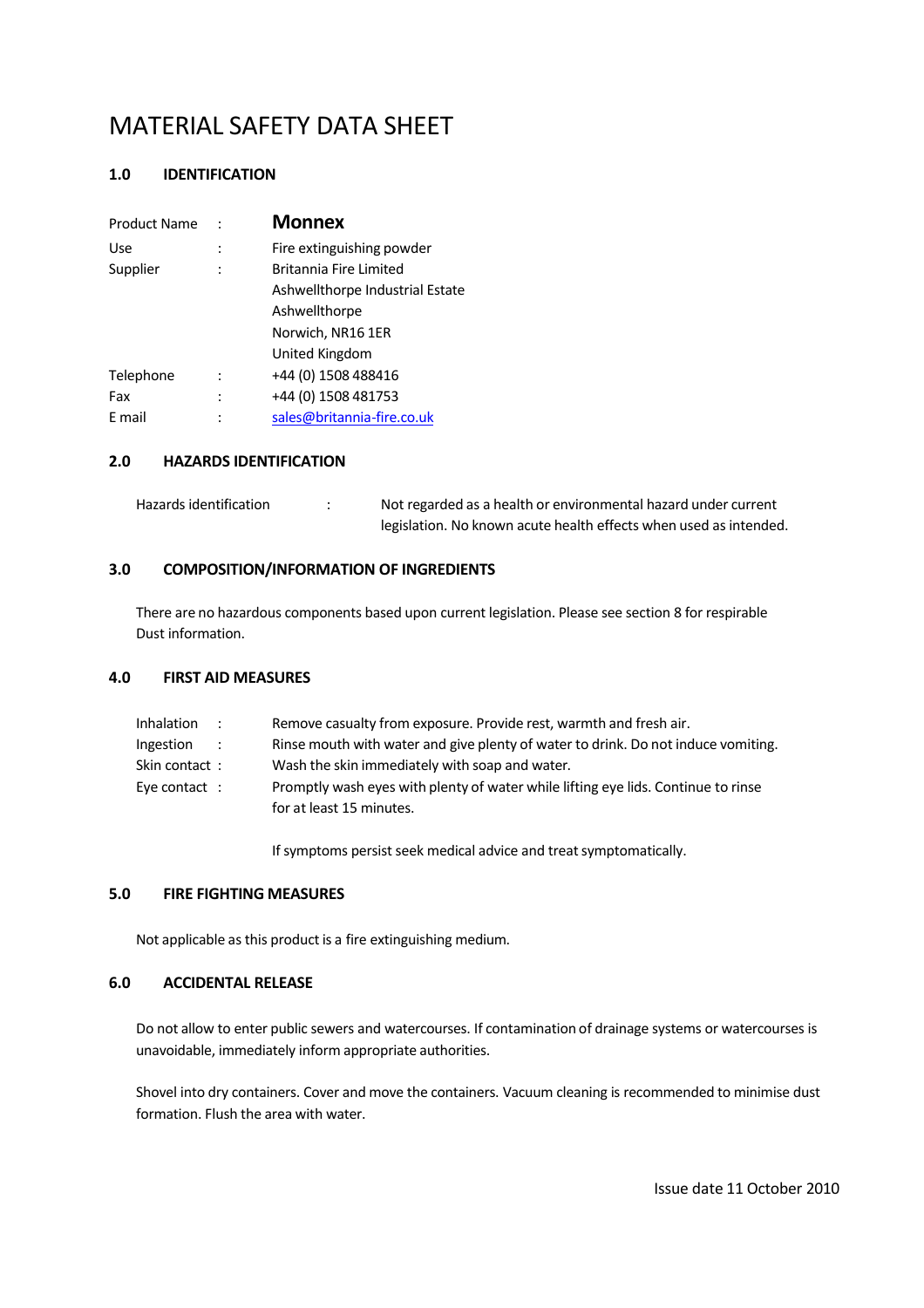#### **1.0 IDENTIFICATION**

| <b>Monnex</b>                   |
|---------------------------------|
| Fire extinguishing powder       |
| Britannia Fire Limited          |
| Ashwellthorpe Industrial Estate |
| Ashwellthorpe                   |
| Norwich, NR16 1ER               |
| United Kingdom                  |
| +44 (0) 1508 488416             |
| +44 (0) 1508 481753             |
| sales@britannia-fire.co.uk      |
|                                 |

#### **2.0 HAZARDS IDENTIFICATION**

| Hazards identification | Not regarded as a health or environmental hazard under current    |
|------------------------|-------------------------------------------------------------------|
|                        | legislation. No known acute health effects when used as intended. |

## **3.0 COMPOSITION/INFORMATION OF INGREDIENTS**

There are no hazardous components based upon current legislation. Please see section 8 for respirable Dust information.

#### **4.0 FIRST AID MEASURES**

| <b>Inhalation</b> |                   | Remove casualty from exposure. Provide rest, warmth and fresh air.                                            |
|-------------------|-------------------|---------------------------------------------------------------------------------------------------------------|
| Ingestion         | $\sim$ 100 $\sim$ | Rinse mouth with water and give plenty of water to drink. Do not induce vomiting.                             |
| Skin contact:     |                   | Wash the skin immediately with soap and water.                                                                |
| Eye contact:      |                   | Promptly wash eyes with plenty of water while lifting eye lids. Continue to rinse<br>for at least 15 minutes. |

If symptoms persist seek medical advice and treat symptomatically.

#### **5.0 FIRE FIGHTING MEASURES**

Not applicable as this product is a fire extinguishing medium.

## **6.0 ACCIDENTAL RELEASE**

Do not allow to enter public sewers and watercourses. If contamination of drainage systems or watercourses is unavoidable, immediately inform appropriate authorities.

Shovel into dry containers. Cover and move the containers. Vacuum cleaning is recommended to minimise dust formation. Flush the area with water.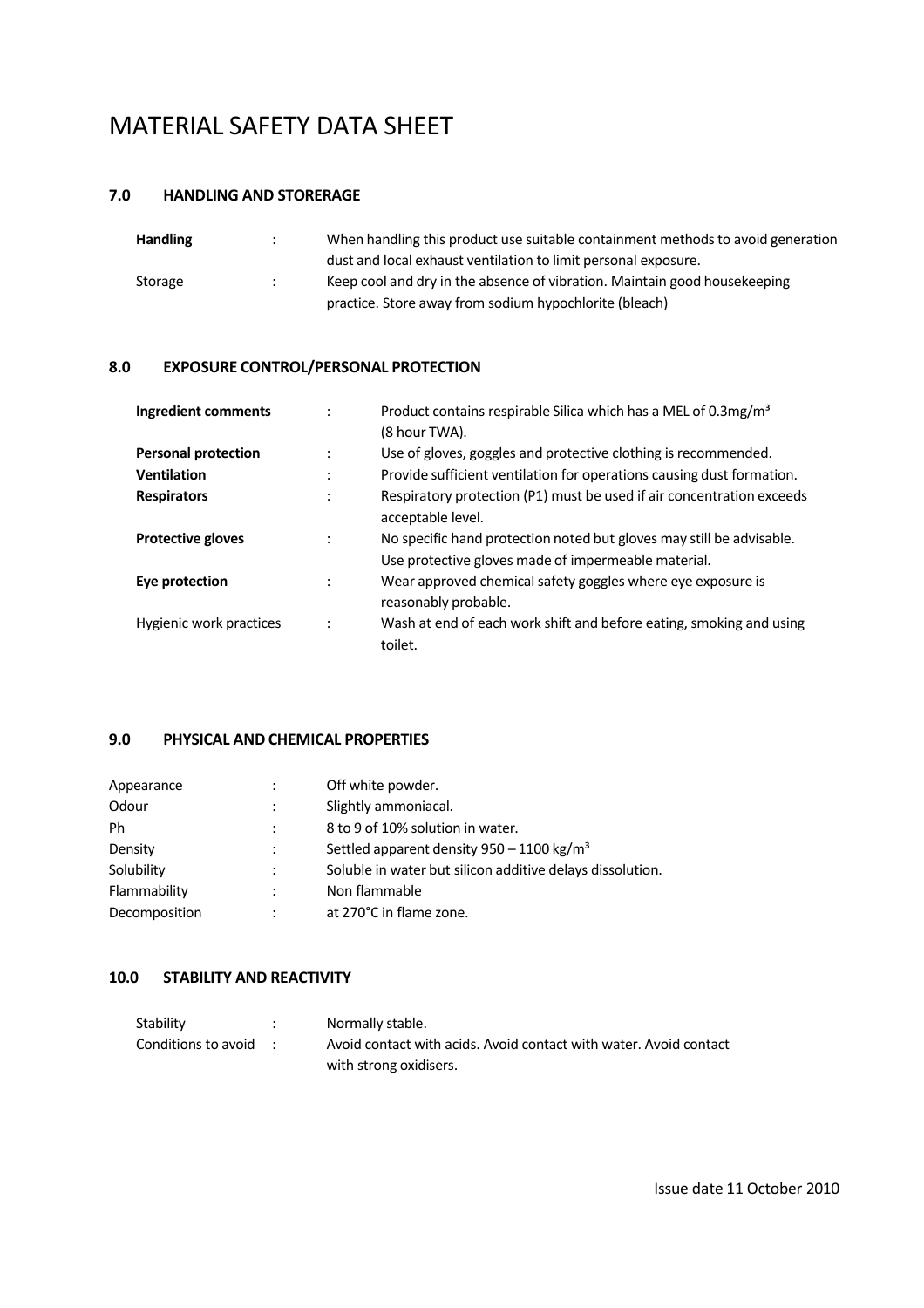## **7.0 HANDLING AND STORERAGE**

| <b>Handling</b> | $\cdot$ | When handling this product use suitable containment methods to avoid generation |
|-----------------|---------|---------------------------------------------------------------------------------|
|                 |         | dust and local exhaust ventilation to limit personal exposure.                  |
| Storage         |         | Keep cool and dry in the absence of vibration. Maintain good housekeeping       |
|                 |         | practice. Store away from sodium hypochlorite (bleach)                          |

## **8.0 EXPOSURE CONTROL/PERSONAL PROTECTION**

| Ingredient comments        |   | Product contains respirable Silica which has a MEL of 0.3mg/m <sup>3</sup><br>(8 hour TWA).                                 |
|----------------------------|---|-----------------------------------------------------------------------------------------------------------------------------|
| <b>Personal protection</b> |   | Use of gloves, goggles and protective clothing is recommended.                                                              |
| <b>Ventilation</b>         |   | Provide sufficient ventilation for operations causing dust formation.                                                       |
| <b>Respirators</b>         |   | Respiratory protection (P1) must be used if air concentration exceeds<br>acceptable level.                                  |
| <b>Protective gloves</b>   |   | No specific hand protection noted but gloves may still be advisable.<br>Use protective gloves made of impermeable material. |
| Eye protection             |   | Wear approved chemical safety goggles where eye exposure is<br>reasonably probable.                                         |
| Hygienic work practices    | ÷ | Wash at end of each work shift and before eating, smoking and using<br>toilet.                                              |

## **9.0 PHYSICAL AND CHEMICAL PROPERTIES**

| Appearance    | $\ddot{\cdot}$       | Off white powder.                                         |
|---------------|----------------------|-----------------------------------------------------------|
| Odour         | $\ddot{\phantom{a}}$ | Slightly ammoniacal.                                      |
| Ph            | $\ddot{\phantom{a}}$ | 8 to 9 of 10% solution in water.                          |
| Density       | $\ddot{\cdot}$       | Settled apparent density 950 - 1100 kg/m <sup>3</sup>     |
| Solubility    | $\ddot{\cdot}$       | Soluble in water but silicon additive delays dissolution. |
| Flammability  | $\ddot{\cdot}$       | Non flammable                                             |
| Decomposition | $\ddot{\cdot}$       | at 270°C in flame zone.                                   |

## **10.0 STABILITY AND REACTIVITY**

| Stability             | Normally stable.                                                  |
|-----------------------|-------------------------------------------------------------------|
| Conditions to avoid : | Avoid contact with acids. Avoid contact with water. Avoid contact |
|                       | with strong oxidisers.                                            |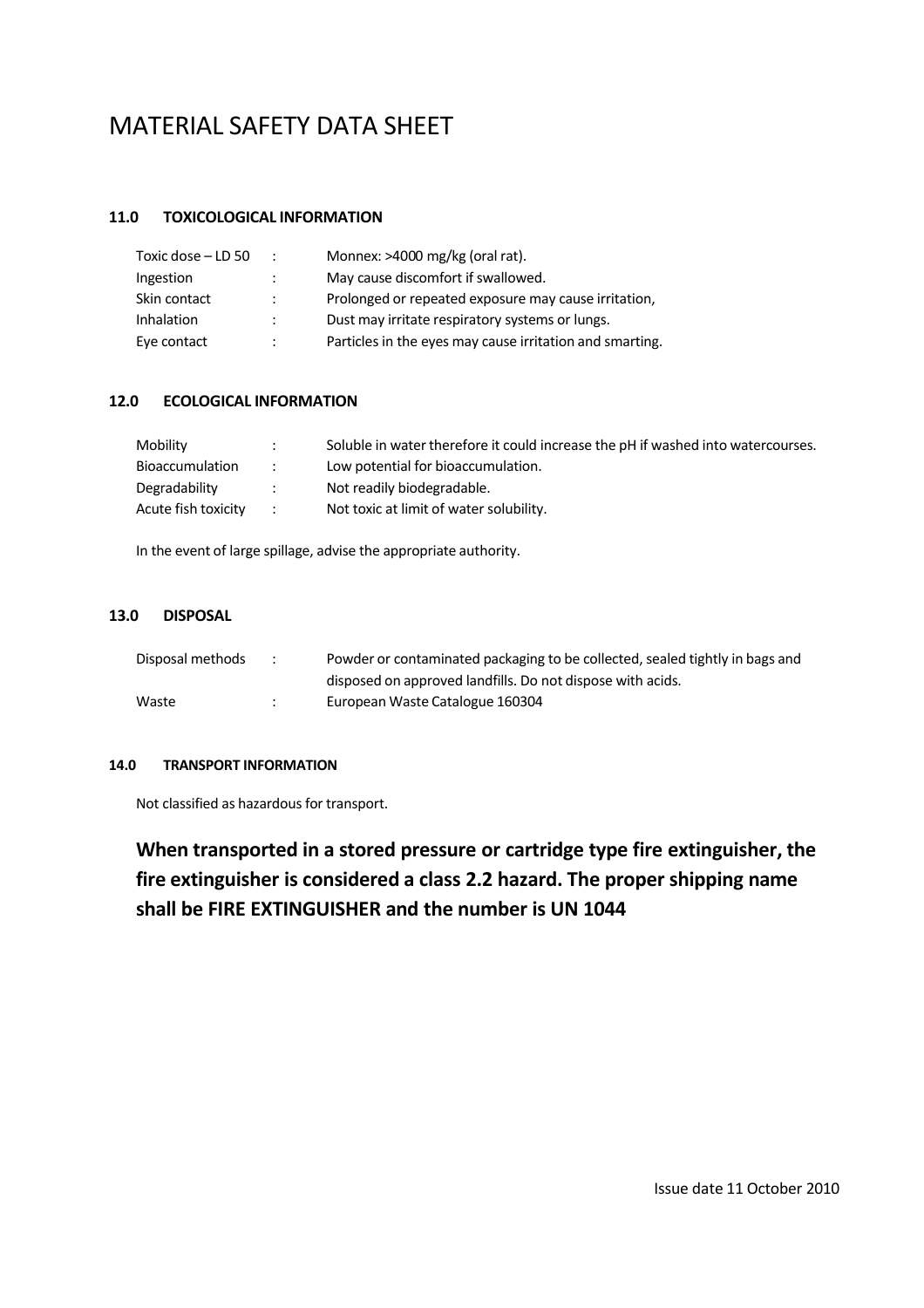#### **11.0 TOXICOLOGICAL INFORMATION**

| Toxic dose - LD 50 | $\ddot{\phantom{0}}$ | Monnex: >4000 mg/kg (oral rat).                          |
|--------------------|----------------------|----------------------------------------------------------|
| Ingestion          |                      | May cause discomfort if swallowed.                       |
| Skin contact       | ٠                    | Prolonged or repeated exposure may cause irritation,     |
| Inhalation         |                      | Dust may irritate respiratory systems or lungs.          |
| Eye contact        | ٠                    | Particles in the eyes may cause irritation and smarting. |

#### **12.0 ECOLOGICAL INFORMATION**

| Mobility               |               | Soluble in water therefore it could increase the pH if washed into watercourses. |
|------------------------|---------------|----------------------------------------------------------------------------------|
| <b>Bioaccumulation</b> | $\mathcal{L}$ | Low potential for bioaccumulation.                                               |
| Degradability          | $\mathcal{L}$ | Not readily biodegradable.                                                       |
| Acute fish toxicity    | $\mathcal{L}$ | Not toxic at limit of water solubility.                                          |

In the event of large spillage, advise the appropriate authority.

### **13.0 DISPOSAL**

| Disposal methods | Powder or contaminated packaging to be collected, sealed tightly in bags and |
|------------------|------------------------------------------------------------------------------|
|                  | disposed on approved landfills. Do not dispose with acids.                   |
| Waste            | European Waste Catalogue 160304                                              |

#### **14.0 TRANSPORT INFORMATION**

Not classified as hazardous for transport.

**When transported in a stored pressure or cartridge type fire extinguisher, the fire extinguisher is considered a class 2.2 hazard. The proper shipping name shall be FIRE EXTINGUISHER and the number is UN 1044**